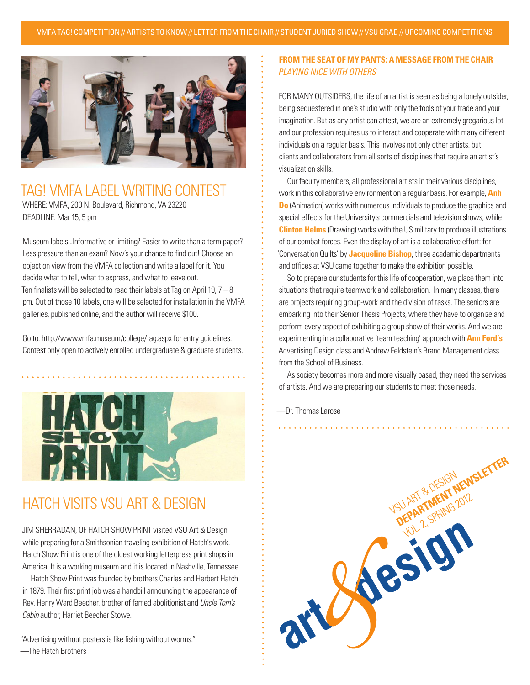

### TAG! VMFA LABEL WRITING CONTEST WHERE: VMFA, 200 N. Boulevard, Richmond, VA 23220 DEADLINE: Mar 15, 5 pm

Museum labels...Informative or limiting? Easier to write than a term paper? Less pressure than an exam? Now's your chance to find out! Choose an object on view from the VMFA collection and write a label for it. You decide what to tell, what to express, and what to leave out. Ten finalists will be selected to read their labels at Tag on April 19,  $7 - 8$ pm. Out of those 10 labels, one will be selected for installation in the VMFA galleries, published online, and the author will receive \$100.

Go to: http://www.vmfa.museum/college/tag.aspx for entry guidelines. Contest only open to actively enrolled undergraduate & graduate students.



## HATCH VISITS VSU ART & DESIGN

JIM SHERRADAN, OF HATCH SHOW PRINT visited VSU Art & Design while preparing for a Smithsonian traveling exhibition of Hatch's work. Hatch Show Print is one of the oldest working letterpress print shops in America. It is a working museum and it is located in Nashville, Tennessee.

Hatch Show Print was founded by brothers Charles and Herbert Hatch in 1879. Their first print job was a handbill announcing the appearance of Rev. Henry Ward Beecher, brother of famed abolitionist and *Uncle Tom's Cabin* author, Harriet Beecher Stowe.

"Advertising without posters is like fishing without worms." —The Hatch Brothers

#### **FROM THE SEAT OF MY PANTS: A MESSAGE FROM THE CHAIR** *PLAYING NICE WITH OTHERS*

FOR MANY OUTSIDERS, the life of an artist is seen as being a lonely outsider, being sequestered in one's studio with only the tools of your trade and your imagination. But as any artist can attest, we are an extremely gregarious lot and our profession requires us to interact and cooperate with many different individuals on a regular basis. This involves not only other artists, but clients and collaborators from all sorts of disciplines that require an artist's visualization skills.

Our faculty members, all professional artists in their various disciplines, work in this collaborative environment on a regular basis. For example, **Anh Do** (Animation) works with numerous individuals to produce the graphics and special effects for the University's commercials and television shows; while **Clinton Helms** (Drawing) works with the US military to produce illustrations of our combat forces. Even the display of art is a collaborative effort: for 'Conversation Quilts' by **Jacqueline Bishop**, three academic departments and offices at VSU came together to make the exhibition possible.

So to prepare our students for this life of cooperation, we place them into situations that require teamwork and collaboration. In many classes, there are projects requiring group-work and the division of tasks. The seniors are embarking into their Senior Thesis Projects, where they have to organize and perform every aspect of exhibiting a group show of their works. And we are experimenting in a collaborative 'team teaching' approach with **Ann Ford's** Advertising Design class and Andrew Feldstein's Brand Management class from the School of Business.

As society becomes more and more visually based, they need the services of artists. And we are preparing our students to meet those needs.

—Dr. Thomas Larose